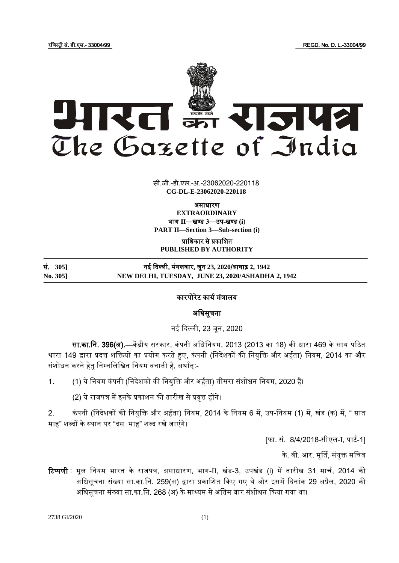रजिस्ट्री सं. डी.एल.- 33004/99 REGD. No. D. L.-33004/99



 $\overline{1}$   $\overline{00000}$ सी.जी.-डी.एल.-अ.-23062020-220118 **CG-DL-E-23062020-220118**

असाधारण **EXTRAORDINARY** भाग **II**—खण् ड **3**—उप-खण् ड **(i**) **PART II—Section 3—Sub-section (i)**

प्राजधकार से प्रकाजित **PUBLISHED BY AUTHORITY**

| सं. 3051 | नई दिल्ली, मंगलवार, जून 23, 2020/आषाढ़ 2, 1942    |
|----------|---------------------------------------------------|
| No. 3051 | NEW DELHI, TUESDAY, JUNE 23, 2020/ASHADHA 2, 1942 |

## कारपोरेट कार्य मंत्रालय

# अजधसूचना

नई ददल्ली, 23 िून, 2020

सा.का.नि. 396(अ).—केंद्रीय सरकार, कंपनी अधिनियम, 2013 (2013 का 18) की धारा 469 के साथ पठित धारा 149 द्वारा प्रदत्त शक्तियों का प्रयोग करते हुए, कंपनी (निदेशकों की नियुक्ति और अर्हता) नियम, 2014 का और संशोधन करने हेतु निम्नलिखित नियम बनाती है, अर्थात:-

- 1. (1) ये नियम कंपनी (निदेशकों की नियुक्ति और अर्हता) तीसरा संशोधन नियम, 2020 हैं।
	- (2) ये राजपत्र में इनके प्रकाशन की तारीख से प्रवृत्त होंगे।

2. कंपनी (निदेशकों की नियुक्ति और अर्हता) नियम, 2014 के नियम 6 में, उप-नियम (1) में, खंड (क) में, " सात माह" शब्दों के स्थान पर "दस माह" शब्द रखे जाएंगे।

[फा. सं. 8/4/2018-सीएल-I, पार्ट-1]

के. वी. आर. मूर्ति, संयुक्त सचिव

**टिप्पणी** : मूल नियम भारत के राजपत्र, असाधारण, भाग-II, खंड-3, उपखंड (i) में तारीख 31 मार्च, 2014 की अधिसूचना संख्या सा.का.नि. 259(अ) द्वारा प्रकाशित किए गए थे और इसमें दिनांक 29 अप्रैल, 2020 की अधिसूचना संख्या सा.का.नि. 268 (अ) के माध्यम से अंतिम बार संशोधन किया गया था।

2738 GI/2020 (1)